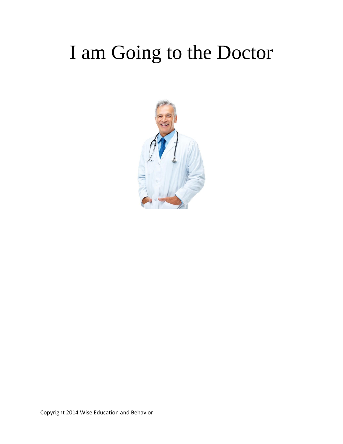#### I am Going to the Doctor

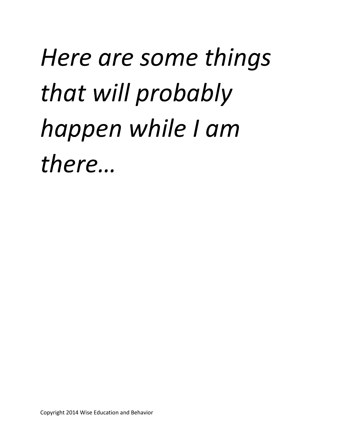# *Here are some things that will probably happen while I am there…*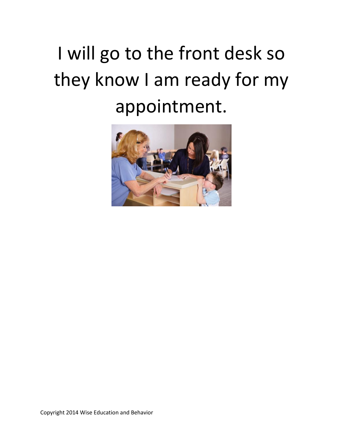# I will go to the front desk so they know I am ready for my appointment.

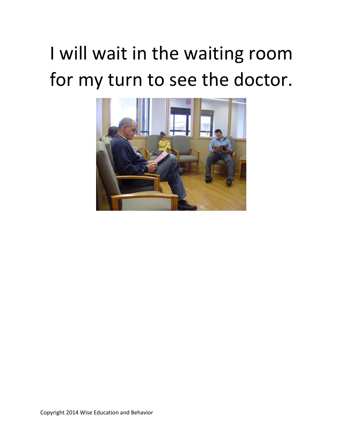# I will wait in the waiting room for my turn to see the doctor.

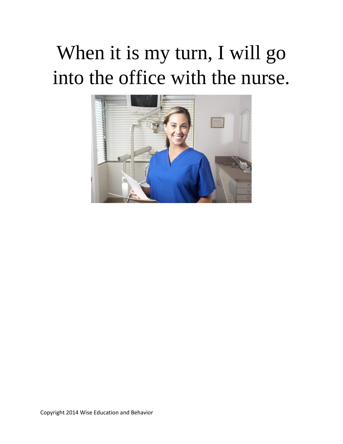## When it is my turn, I will go into the office with the nurse.

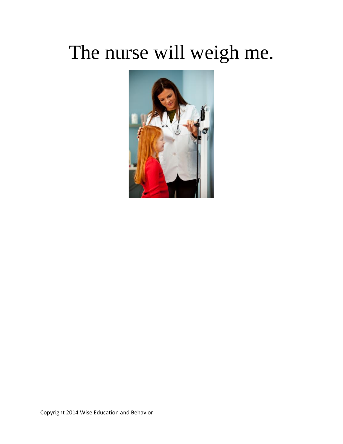#### The nurse will weigh me.

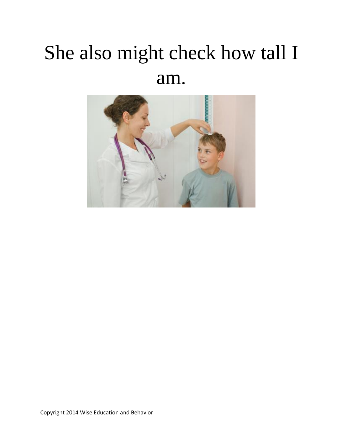## She also might check how tall I am.

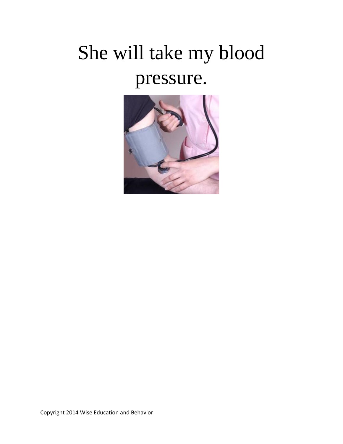# She will take my blood pressure.

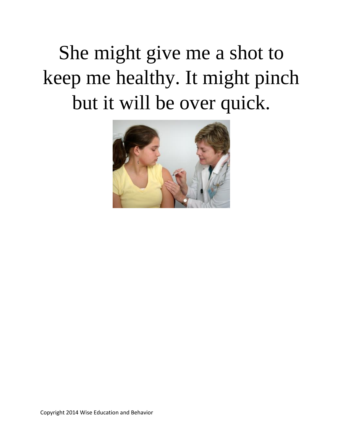She might give me a shot to keep me healthy. It might pinch but it will be over quick.

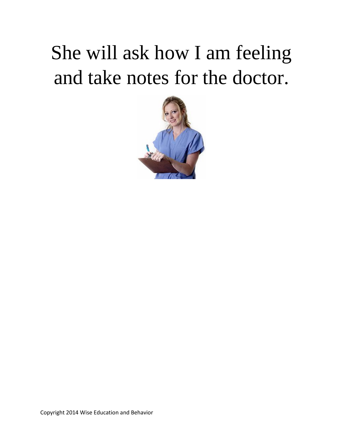## She will ask how I am feeling and take notes for the doctor.

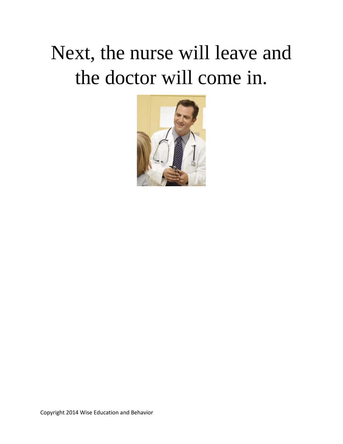#### Next, the nurse will leave and the doctor will come in.

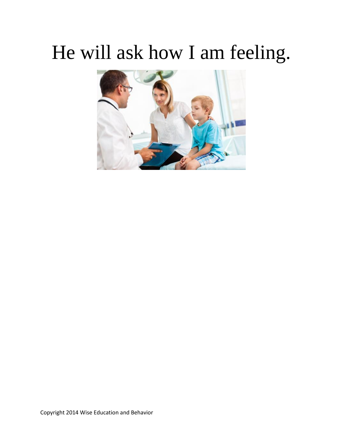#### He will ask how I am feeling.

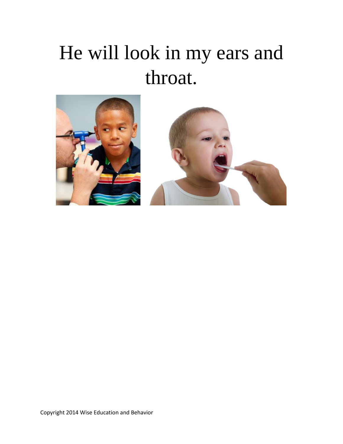## He will look in my ears and throat.

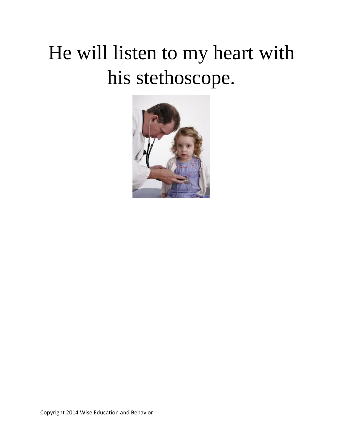# He will listen to my heart with his stethoscope.

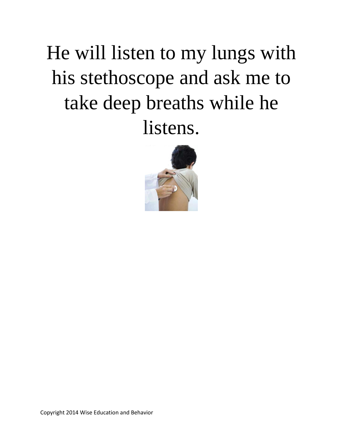# He will listen to my lungs with his stethoscope and ask me to take deep breaths while he listens.

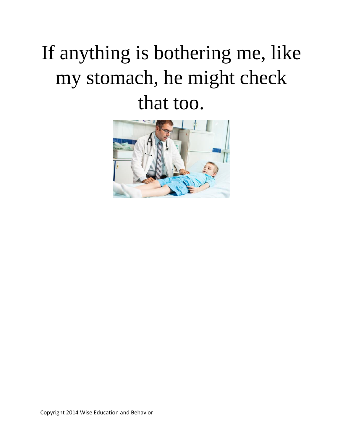# If anything is bothering me, like my stomach, he might check that too.

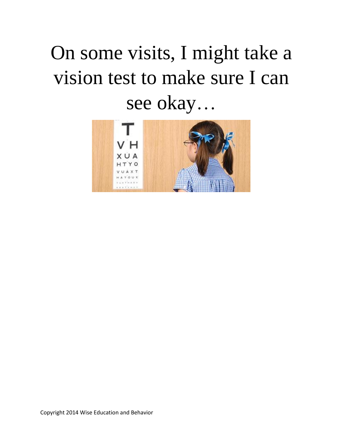# On some visits, I might take a vision test to make sure I can see okay…

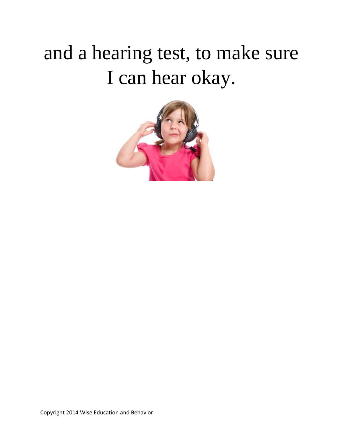## and a hearing test, to make sure I can hear okay.